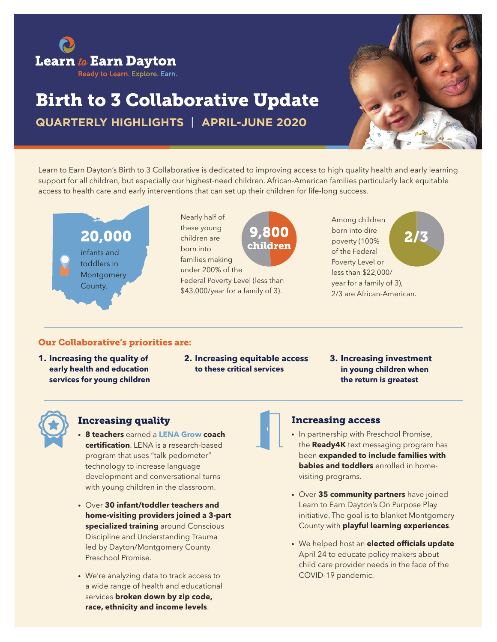

# Birth to 3 Collaborative Update

**QUARTERLY HIGHLIGHTS | APRIL-JUNE 2020**



Learn to Earn Dayton's Birth to 3 Collaborative is dedicated to improving access to high quality health and early learning support for all children, but especially our highest-need children. African-American families particularly lack equitable access to health care and early interventions that can set up their children for life-long success.

childrer



Nearly half of these young children are born into families making under 200% of the Federal Poverty Level (less than

\$43,000/year for a family of 3).

Among children born into dire  $9,800$  born into dire 2/3 of the Federal Poverty Level or less than \$22,000/ year for a family of 3), 2/3 are African-American.

#### Our Collaborative's priorities are:

- **1. Increasing the quality of early health and education services for young children**
- **2. Increasing equitable access to these critical services**
- **3. Increasing investment in young children when the return is greatest**



#### Increasing quality

- **• 8 teachers** earned a **[LENA Grow](http://LENA Grow) coach certification**. LENA is a research-based program that uses "talk pedometer" technology to increase language development and conversational turns with young children in the classroom.
- Over **30 infant/toddler teachers and home-visiting providers joined a 3-part specialized training** around Conscious Discipline and Understanding Trauma led by Dayton/Montgomery County Preschool Promise.
- We're analyzing data to track access to a wide range of health and educational services **broken down by zip code, race, ethnicity and income levels**.

#### Increasing access

- In partnership with Preschool Promise, the **Ready4K** text messaging program has been **expanded to include families with babies and toddlers** enrolled in homevisiting programs.
- Over **35 community partners** have joined Learn to Earn Dayton's On Purpose Play initiative. The goal is to blanket Montgomery County with **playful learning experiences**.
- We helped host an **elected officials update**  April 24 to educate policy makers about child care provider needs in the face of the COVID-19 pandemic.